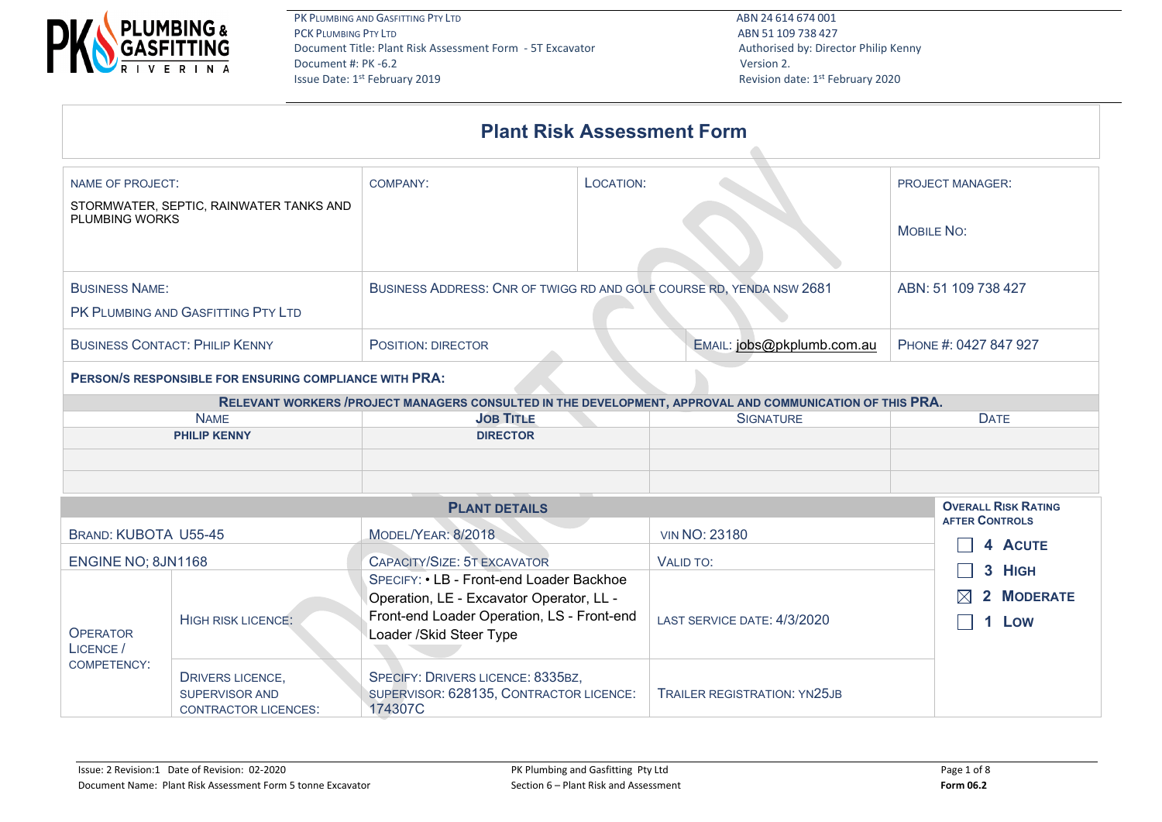

Revision date: 1st February 2020

|                                             |                                                                                                                                                                                                                                                                      | <b>Plant Risk Assessment Form</b>                                                                                                                              |                             |                                                     |  |  |  |  |  |  |
|---------------------------------------------|----------------------------------------------------------------------------------------------------------------------------------------------------------------------------------------------------------------------------------------------------------------------|----------------------------------------------------------------------------------------------------------------------------------------------------------------|-----------------------------|-----------------------------------------------------|--|--|--|--|--|--|
| <b>NAME OF PROJECT:</b>                     |                                                                                                                                                                                                                                                                      | LOCATION:<br>COMPANY:                                                                                                                                          | <b>PROJECT MANAGER:</b>     |                                                     |  |  |  |  |  |  |
| PLUMBING WORKS                              | STORMWATER, SEPTIC, RAINWATER TANKS AND                                                                                                                                                                                                                              |                                                                                                                                                                | <b>MOBILE NO:</b>           |                                                     |  |  |  |  |  |  |
| <b>BUSINESS NAME:</b>                       |                                                                                                                                                                                                                                                                      | BUSINESS ADDRESS: CNR OF TWIGG RD AND GOLF COURSE RD, YENDA NSW 2681<br>ABN: 51 109 738 427                                                                    |                             |                                                     |  |  |  |  |  |  |
|                                             | PK PLUMBING AND GASFITTING PTY LTD                                                                                                                                                                                                                                   |                                                                                                                                                                |                             |                                                     |  |  |  |  |  |  |
|                                             | <b>BUSINESS CONTACT: PHILIP KENNY</b>                                                                                                                                                                                                                                | POSITION: DIRECTOR                                                                                                                                             | PHONE #: 0427 847 927       |                                                     |  |  |  |  |  |  |
|                                             | PERSON/S RESPONSIBLE FOR ENSURING COMPLIANCE WITH PRA:<br>RELEVANT WORKERS / PROJECT MANAGERS CONSULTED IN THE DEVELOPMENT, APPROVAL AND COMMUNICATION OF THIS PRA.<br><b>SIGNATURE</b><br><b>NAME</b><br><b>JOB TITLE</b><br><b>PHILIP KENNY</b><br><b>DIRECTOR</b> |                                                                                                                                                                |                             |                                                     |  |  |  |  |  |  |
|                                             |                                                                                                                                                                                                                                                                      |                                                                                                                                                                |                             |                                                     |  |  |  |  |  |  |
|                                             |                                                                                                                                                                                                                                                                      | <b>PLANT DETAILS</b>                                                                                                                                           |                             | <b>OVERALL RISK RATING</b><br><b>AFTER CONTROLS</b> |  |  |  |  |  |  |
| <b>BRAND: KUBOTA U55-45</b>                 |                                                                                                                                                                                                                                                                      | MODEL/YEAR: 8/2018                                                                                                                                             | <b>VIN NO: 23180</b>        | 4 ACUTE                                             |  |  |  |  |  |  |
| ENGINE NO; 8JN1168                          |                                                                                                                                                                                                                                                                      | CAPACITY/SIZE: 5T EXCAVATOR                                                                                                                                    | VALID TO:                   | 3 HIGH                                              |  |  |  |  |  |  |
| <b>OPERATOR</b><br>LICENCE /<br>COMPETENCY: | <b>HIGH RISK LICENCE:</b>                                                                                                                                                                                                                                            | SPECIFY: • LB - Front-end Loader Backhoe<br>Operation, LE - Excavator Operator, LL -<br>Front-end Loader Operation, LS - Front-end<br>Loader / Skid Steer Type | LAST SERVICE DATE: 4/3/2020 | 2 MODERATE<br>1 Low                                 |  |  |  |  |  |  |

DRIVERS LICENCE, SUPERVISOR AND CONTRACTOR LICENCES:

TRAILER REGISTRATION: YN25JB

SPECIFY: DRIVERS LICENCE: 8335BZ,

174307C

SUPERVISOR: 628135, CONTRACTOR LICENCE: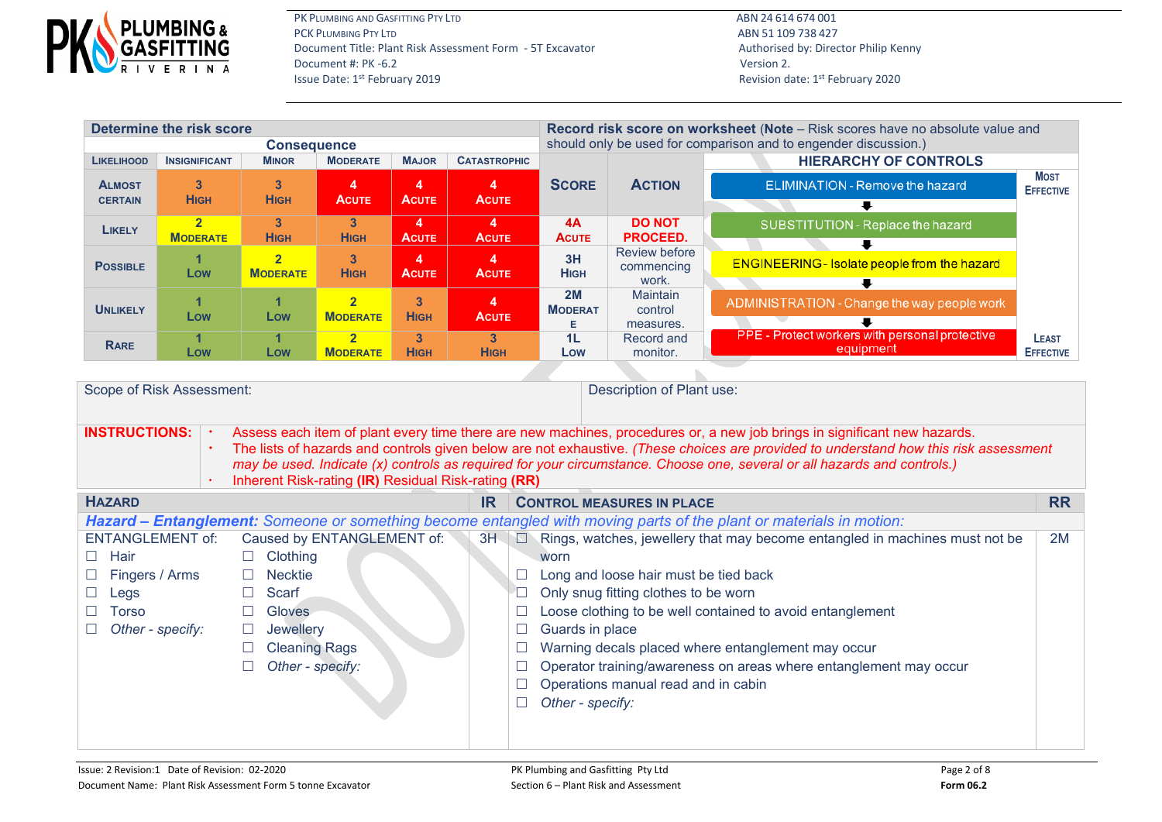

Revision date: 1st February 2020

| Determine the risk score        |                      |                                   |                                            |                                         |                                         | Record risk score on worksheet (Note - Risk scores have no absolute value and |                                             |                                                             |                                  |  |  |  |
|---------------------------------|----------------------|-----------------------------------|--------------------------------------------|-----------------------------------------|-----------------------------------------|-------------------------------------------------------------------------------|---------------------------------------------|-------------------------------------------------------------|----------------------------------|--|--|--|
|                                 |                      | <b>Consequence</b>                |                                            |                                         |                                         | should only be used for comparison and to engender discussion.)               |                                             |                                                             |                                  |  |  |  |
| <b>LIKELIHOOD</b>               | <b>INSIGNIFICANT</b> | <b>MINOR</b>                      | <b>MODERATE</b>                            | <b>MAJOR</b>                            | <b>CATASTROPHIC</b>                     |                                                                               |                                             | <b>HIERARCHY OF CONTROLS</b>                                |                                  |  |  |  |
| <b>ALMOST</b><br><b>CERTAIN</b> | 3<br><b>HIGH</b>     | 3<br><b>HIGH</b>                  | 4<br><b>ACUTE</b>                          | $\overline{\mathbf{A}}$<br><b>ACUTE</b> | $\overline{\mathbf{4}}$<br><b>ACUTE</b> | <b>SCORE</b>                                                                  | <b>ACTION</b>                               | <b>ELIMINATION - Remove the hazard</b>                      | <b>MOST</b><br><b>EFFECTIVE</b>  |  |  |  |
|                                 |                      |                                   |                                            |                                         |                                         |                                                                               |                                             |                                                             |                                  |  |  |  |
| <b>LIKELY</b>                   | <b>MODERATE</b>      | 3<br><b>HIGH</b>                  | 3<br><b>HIGH</b>                           | 4<br><b>ACUTE</b>                       | 4<br><b>ACUTE</b>                       | 4A<br>ACUTE                                                                   | <b>DO NOT</b><br>PROCEED.                   | SUBSTITUTION - Replace the hazard                           |                                  |  |  |  |
| <b>POSSIBLE</b>                 | Low                  | $\overline{2}$<br><b>MODERATE</b> | $\mathbf{3}$<br><b>HIGH</b>                | 4<br><b>ACUTE</b>                       | $\overline{\mathbf{4}}$<br><b>ACUTE</b> | 3H<br><b>HIGH</b>                                                             | <b>Review before</b><br>commencing<br>work. | ⋅<br><b>ENGINEERING - Isolate people from the hazard</b>    |                                  |  |  |  |
| <b>UNLIKELY</b>                 | Low                  | Low                               | $\overline{2}$<br><b>MODERATE</b>          | $\mathbf{3}$<br><b>HIGH</b>             | 4<br><b>ACUTE</b>                       | 2M<br><b>MODERAT</b><br>Е.                                                    | <b>Maintain</b><br>control<br>measures.     | ADMINISTRATION - Change the way people work                 |                                  |  |  |  |
| <b>RARE</b>                     | Low                  | Low                               | $\overline{\mathbf{2}}$<br><b>MODERATE</b> | $\overline{3}$<br><b>HIGH</b>           | $\overline{3}$<br><b>HIGH</b>           | 1 <sub>L</sub><br>Low                                                         | Record and<br>monitor.                      | PPE - Protect workers with personal protective<br>equipment | <b>LEAST</b><br><b>EFFECTIVE</b> |  |  |  |
|                                 |                      |                                   |                                            |                                         |                                         |                                                                               |                                             |                                                             |                                  |  |  |  |

| Scope of Risk Assessment: |  |                            |                                                                                                                                                                                                                                                                                                                                                                                                                                                    |                                  | Description of Plant use:                                                                                                  |    |  |  |  |  |  |  |  |
|---------------------------|--|----------------------------|----------------------------------------------------------------------------------------------------------------------------------------------------------------------------------------------------------------------------------------------------------------------------------------------------------------------------------------------------------------------------------------------------------------------------------------------------|----------------------------------|----------------------------------------------------------------------------------------------------------------------------|----|--|--|--|--|--|--|--|
| <b>INSTRUCTIONS:</b>      |  |                            | Assess each item of plant every time there are new machines, procedures or, a new job brings in significant new hazards.<br>The lists of hazards and controls given below are not exhaustive. (These choices are provided to understand how this risk assessment<br>may be used. Indicate (x) controls as required for your circumstance. Choose one, several or all hazards and controls.)<br>Inherent Risk-rating (IR) Residual Risk-rating (RR) |                                  |                                                                                                                            |    |  |  |  |  |  |  |  |
| <b>HAZARD</b>             |  |                            | IR                                                                                                                                                                                                                                                                                                                                                                                                                                                 | <b>CONTROL MEASURES IN PLACE</b> | <b>RR</b>                                                                                                                  |    |  |  |  |  |  |  |  |
|                           |  |                            |                                                                                                                                                                                                                                                                                                                                                                                                                                                    |                                  | <b>Hazard – Entanglement:</b> Someone or something become entangled with moving parts of the plant or materials in motion: |    |  |  |  |  |  |  |  |
| <b>ENTANGLEMENT of:</b>   |  | Caused by ENTANGLEMENT of: | 3H                                                                                                                                                                                                                                                                                                                                                                                                                                                 |                                  | $\Box$ Rings, watches, jewellery that may become entangled in machines must not be                                         | 2M |  |  |  |  |  |  |  |
| Hair<br>$\Box$            |  | $\Box$ Clothing            |                                                                                                                                                                                                                                                                                                                                                                                                                                                    |                                  | worn                                                                                                                       |    |  |  |  |  |  |  |  |
| Fingers / Arms            |  | <b>Necktie</b>             |                                                                                                                                                                                                                                                                                                                                                                                                                                                    |                                  | Long and loose hair must be tied back                                                                                      |    |  |  |  |  |  |  |  |
| Legs                      |  | Scarf                      |                                                                                                                                                                                                                                                                                                                                                                                                                                                    |                                  | Only snug fitting clothes to be worn                                                                                       |    |  |  |  |  |  |  |  |
| Torso                     |  | <b>Gloves</b>              |                                                                                                                                                                                                                                                                                                                                                                                                                                                    |                                  | Loose clothing to be well contained to avoid entanglement                                                                  |    |  |  |  |  |  |  |  |
| Other - specify:          |  | Jewellery                  |                                                                                                                                                                                                                                                                                                                                                                                                                                                    |                                  | Guards in place                                                                                                            |    |  |  |  |  |  |  |  |
|                           |  | <b>Cleaning Rags</b>       |                                                                                                                                                                                                                                                                                                                                                                                                                                                    |                                  | Warning decals placed where entanglement may occur                                                                         |    |  |  |  |  |  |  |  |
|                           |  | Other - specify:           |                                                                                                                                                                                                                                                                                                                                                                                                                                                    |                                  | Operator training/awareness on areas where entanglement may occur                                                          |    |  |  |  |  |  |  |  |
|                           |  |                            |                                                                                                                                                                                                                                                                                                                                                                                                                                                    |                                  | Operations manual read and in cabin                                                                                        |    |  |  |  |  |  |  |  |
|                           |  |                            |                                                                                                                                                                                                                                                                                                                                                                                                                                                    |                                  | Other - specify:                                                                                                           |    |  |  |  |  |  |  |  |
|                           |  |                            |                                                                                                                                                                                                                                                                                                                                                                                                                                                    |                                  |                                                                                                                            |    |  |  |  |  |  |  |  |
|                           |  |                            |                                                                                                                                                                                                                                                                                                                                                                                                                                                    |                                  |                                                                                                                            |    |  |  |  |  |  |  |  |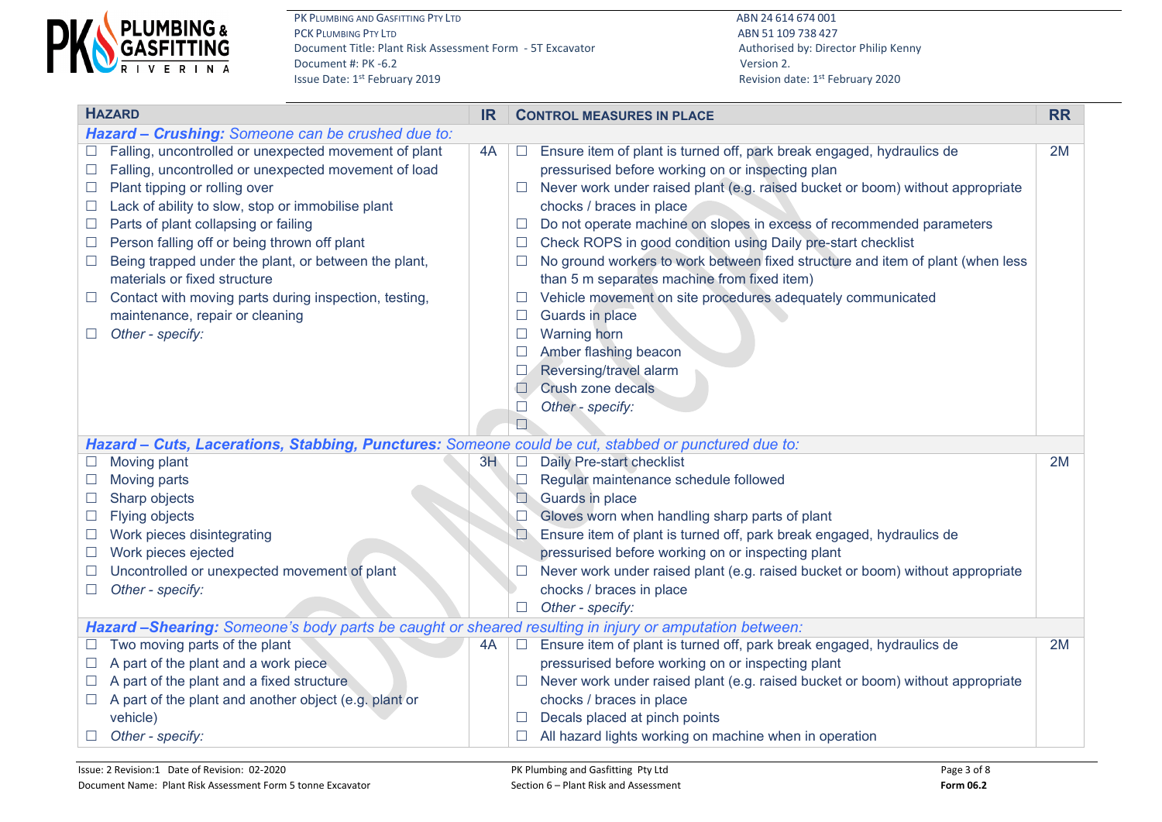

Revision date: 1st February 2020

| <b>HAZARD</b>                                              |                                                                                                                                                                                                                                                                                                                                                                                                                                                                                                     |    | <b>CONTROL MEASURES IN PLACE</b> |                                                                                                                                                                                                                                                                                                                                                                                                                                                                                                                                                                                                                                                                                                                       |    |  |
|------------------------------------------------------------|-----------------------------------------------------------------------------------------------------------------------------------------------------------------------------------------------------------------------------------------------------------------------------------------------------------------------------------------------------------------------------------------------------------------------------------------------------------------------------------------------------|----|----------------------------------|-----------------------------------------------------------------------------------------------------------------------------------------------------------------------------------------------------------------------------------------------------------------------------------------------------------------------------------------------------------------------------------------------------------------------------------------------------------------------------------------------------------------------------------------------------------------------------------------------------------------------------------------------------------------------------------------------------------------------|----|--|
|                                                            | Hazard - Crushing: Someone can be crushed due to:                                                                                                                                                                                                                                                                                                                                                                                                                                                   |    |                                  |                                                                                                                                                                                                                                                                                                                                                                                                                                                                                                                                                                                                                                                                                                                       |    |  |
| П<br>$\mathcal{L}$<br>$\Box$<br>$\Box$<br>⊔<br>$\Box$<br>ப | Falling, uncontrolled or unexpected movement of plant<br>Falling, uncontrolled or unexpected movement of load<br>Plant tipping or rolling over<br>Lack of ability to slow, stop or immobilise plant<br>Parts of plant collapsing or failing<br>Person falling off or being thrown off plant<br>Being trapped under the plant, or between the plant,<br>materials or fixed structure<br>Contact with moving parts during inspection, testing,<br>maintenance, repair or cleaning<br>Other - specify: | 4A | Ш                                | Ensure item of plant is turned off, park break engaged, hydraulics de<br>pressurised before working on or inspecting plan<br>Never work under raised plant (e.g. raised bucket or boom) without appropriate<br>chocks / braces in place<br>Do not operate machine on slopes in excess of recommended parameters<br>Check ROPS in good condition using Daily pre-start checklist<br>No ground workers to work between fixed structure and item of plant (when less<br>than 5 m separates machine from fixed item)<br>Vehicle movement on site procedures adequately communicated<br>Guards in place<br><b>Warning horn</b><br>Amber flashing beacon<br>Reversing/travel alarm<br>Crush zone decals<br>Other - specify: | 2M |  |
|                                                            | Hazard - Cuts, Lacerations, Stabbing, Punctures: Someone could be cut, stabbed or punctured due to:                                                                                                                                                                                                                                                                                                                                                                                                 |    |                                  |                                                                                                                                                                                                                                                                                                                                                                                                                                                                                                                                                                                                                                                                                                                       |    |  |
|                                                            | Moving plant                                                                                                                                                                                                                                                                                                                                                                                                                                                                                        | 3H | $\Box$                           | Daily Pre-start checklist                                                                                                                                                                                                                                                                                                                                                                                                                                                                                                                                                                                                                                                                                             | 2M |  |
|                                                            | Moving parts                                                                                                                                                                                                                                                                                                                                                                                                                                                                                        |    | $\Box$                           | Regular maintenance schedule followed                                                                                                                                                                                                                                                                                                                                                                                                                                                                                                                                                                                                                                                                                 |    |  |
| $\Box$                                                     | Sharp objects                                                                                                                                                                                                                                                                                                                                                                                                                                                                                       |    | $\Box$                           | Guards in place                                                                                                                                                                                                                                                                                                                                                                                                                                                                                                                                                                                                                                                                                                       |    |  |
| $\Box$                                                     | <b>Flying objects</b>                                                                                                                                                                                                                                                                                                                                                                                                                                                                               |    |                                  | Gloves worn when handling sharp parts of plant                                                                                                                                                                                                                                                                                                                                                                                                                                                                                                                                                                                                                                                                        |    |  |
|                                                            | Work pieces disintegrating                                                                                                                                                                                                                                                                                                                                                                                                                                                                          |    |                                  | Ensure item of plant is turned off, park break engaged, hydraulics de                                                                                                                                                                                                                                                                                                                                                                                                                                                                                                                                                                                                                                                 |    |  |
| $\Box$                                                     | Work pieces ejected                                                                                                                                                                                                                                                                                                                                                                                                                                                                                 |    |                                  | pressurised before working on or inspecting plant                                                                                                                                                                                                                                                                                                                                                                                                                                                                                                                                                                                                                                                                     |    |  |
|                                                            | Uncontrolled or unexpected movement of plant                                                                                                                                                                                                                                                                                                                                                                                                                                                        |    |                                  | Never work under raised plant (e.g. raised bucket or boom) without appropriate                                                                                                                                                                                                                                                                                                                                                                                                                                                                                                                                                                                                                                        |    |  |
| $\Box$                                                     | Other - specify:                                                                                                                                                                                                                                                                                                                                                                                                                                                                                    |    |                                  | chocks / braces in place                                                                                                                                                                                                                                                                                                                                                                                                                                                                                                                                                                                                                                                                                              |    |  |
|                                                            |                                                                                                                                                                                                                                                                                                                                                                                                                                                                                                     |    |                                  | Other - specify:                                                                                                                                                                                                                                                                                                                                                                                                                                                                                                                                                                                                                                                                                                      |    |  |
|                                                            | Hazard -Shearing: Someone's body parts be caught or sheared resulting in injury or amputation between:                                                                                                                                                                                                                                                                                                                                                                                              |    |                                  |                                                                                                                                                                                                                                                                                                                                                                                                                                                                                                                                                                                                                                                                                                                       |    |  |
|                                                            | Two moving parts of the plant                                                                                                                                                                                                                                                                                                                                                                                                                                                                       | 4A |                                  | Ensure item of plant is turned off, park break engaged, hydraulics de                                                                                                                                                                                                                                                                                                                                                                                                                                                                                                                                                                                                                                                 | 2M |  |
|                                                            | A part of the plant and a work piece                                                                                                                                                                                                                                                                                                                                                                                                                                                                |    |                                  | pressurised before working on or inspecting plant                                                                                                                                                                                                                                                                                                                                                                                                                                                                                                                                                                                                                                                                     |    |  |
|                                                            | A part of the plant and a fixed structure                                                                                                                                                                                                                                                                                                                                                                                                                                                           |    |                                  | Never work under raised plant (e.g. raised bucket or boom) without appropriate                                                                                                                                                                                                                                                                                                                                                                                                                                                                                                                                                                                                                                        |    |  |
| $\Box$                                                     | A part of the plant and another object (e.g. plant or                                                                                                                                                                                                                                                                                                                                                                                                                                               |    |                                  | chocks / braces in place                                                                                                                                                                                                                                                                                                                                                                                                                                                                                                                                                                                                                                                                                              |    |  |
|                                                            | vehicle)                                                                                                                                                                                                                                                                                                                                                                                                                                                                                            |    |                                  | Decals placed at pinch points                                                                                                                                                                                                                                                                                                                                                                                                                                                                                                                                                                                                                                                                                         |    |  |
|                                                            | Other - specify:                                                                                                                                                                                                                                                                                                                                                                                                                                                                                    |    |                                  | All hazard lights working on machine when in operation                                                                                                                                                                                                                                                                                                                                                                                                                                                                                                                                                                                                                                                                |    |  |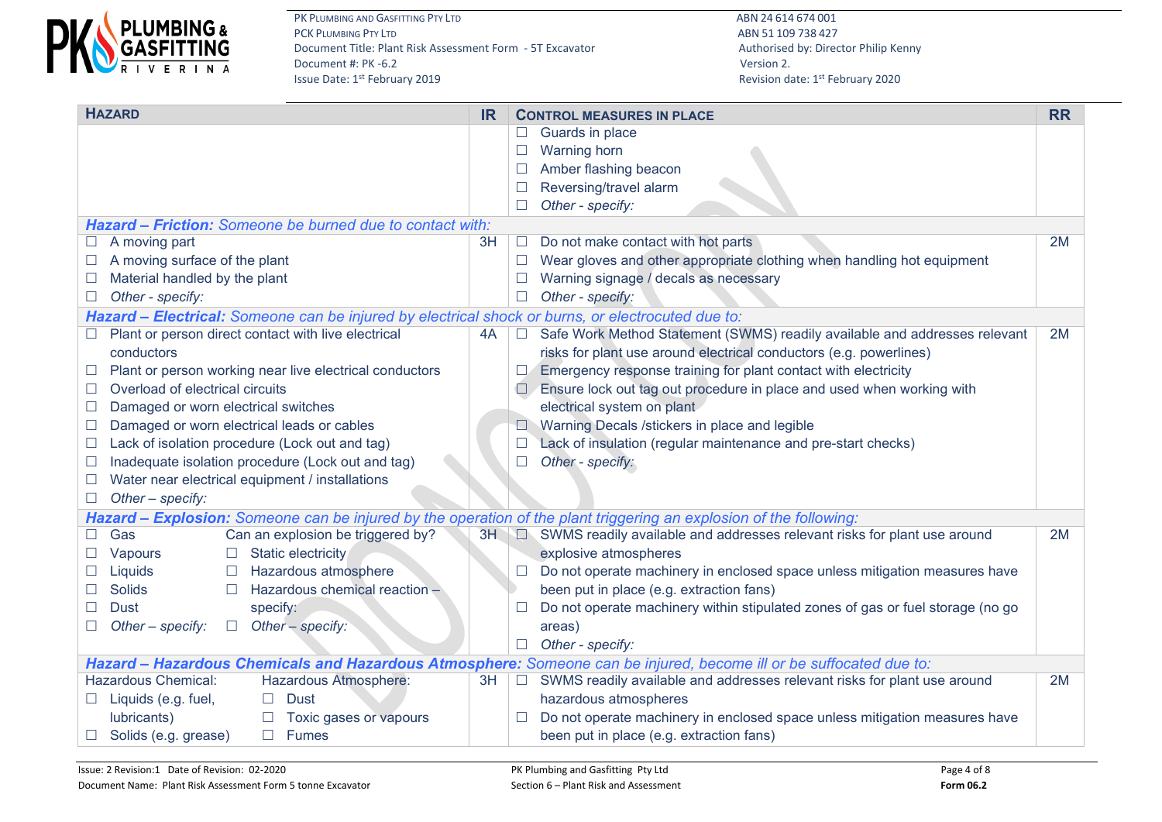

| <b>HAZARD</b><br><b>IR</b>                                                                                         |                             | <b>CONTROL MEASURES IN PLACE</b>                                                                                   |    |  |  |
|--------------------------------------------------------------------------------------------------------------------|-----------------------------|--------------------------------------------------------------------------------------------------------------------|----|--|--|
|                                                                                                                    |                             | Guards in place                                                                                                    |    |  |  |
|                                                                                                                    | $\Box$                      | <b>Warning horn</b>                                                                                                |    |  |  |
|                                                                                                                    | $\Box$                      | Amber flashing beacon                                                                                              |    |  |  |
|                                                                                                                    | $\Box$                      | Reversing/travel alarm                                                                                             |    |  |  |
|                                                                                                                    |                             | Other - specify:                                                                                                   |    |  |  |
| <b>Hazard – Friction:</b> Someone be burned due to contact with:                                                   |                             |                                                                                                                    |    |  |  |
| A moving part<br>3H                                                                                                | $\mathcal{L}_{\mathcal{A}}$ | Do not make contact with hot parts                                                                                 | 2M |  |  |
| A moving surface of the plant                                                                                      |                             | Wear gloves and other appropriate clothing when handling hot equipment<br>⊔                                        |    |  |  |
| Material handled by the plant                                                                                      |                             | Warning signage / decals as necessary                                                                              |    |  |  |
| Other - specify:                                                                                                   |                             | Other - specify:                                                                                                   |    |  |  |
| Hazard - Electrical: Someone can be injured by electrical shock or burns, or electrocuted due to:                  |                             |                                                                                                                    |    |  |  |
| Plant or person direct contact with live electrical<br>4A                                                          | $\Box$                      | Safe Work Method Statement (SWMS) readily available and addresses relevant                                         | 2M |  |  |
| conductors                                                                                                         |                             | risks for plant use around electrical conductors (e.g. powerlines)                                                 |    |  |  |
| Plant or person working near live electrical conductors<br>$\Box$                                                  |                             | Emergency response training for plant contact with electricity<br>ш                                                |    |  |  |
| Overload of electrical circuits<br>$\Box$                                                                          |                             | Ensure lock out tag out procedure in place and used when working with<br>$\Box$                                    |    |  |  |
| Damaged or worn electrical switches<br>$\Box$                                                                      |                             | electrical system on plant                                                                                         |    |  |  |
| Damaged or worn electrical leads or cables<br>$\Box$                                                               |                             | Warning Decals /stickers in place and legible                                                                      |    |  |  |
| Lack of isolation procedure (Lock out and tag)                                                                     |                             | Lack of insulation (regular maintenance and pre-start checks)                                                      |    |  |  |
| Inadequate isolation procedure (Lock out and tag)                                                                  | $\Box$                      | Other - specify:                                                                                                   |    |  |  |
| Water near electrical equipment / installations<br>$\Box$                                                          |                             |                                                                                                                    |    |  |  |
| Other - specify:<br>$\Box$                                                                                         |                             |                                                                                                                    |    |  |  |
| Hazard - Explosion: Someone can be injured by the operation of the plant triggering an explosion of the following: |                             |                                                                                                                    |    |  |  |
| Can an explosion be triggered by?<br>Gas                                                                           |                             | 3H $\Box$ SWMS readily available and addresses relevant risks for plant use around                                 | 2M |  |  |
| Vapours<br><b>Static electricity</b><br>$\Box$                                                                     |                             | explosive atmospheres                                                                                              |    |  |  |
| Hazardous atmosphere<br>Liquids<br>$\Box$                                                                          |                             | Do not operate machinery in enclosed space unless mitigation measures have                                         |    |  |  |
| Hazardous chemical reaction -<br><b>Solids</b><br>$\Box$                                                           |                             | been put in place (e.g. extraction fans)                                                                           |    |  |  |
| specify:<br>Dust                                                                                                   |                             | Do not operate machinery within stipulated zones of gas or fuel storage (no go                                     |    |  |  |
| Other - specify:<br>Other - specify:<br>$\Box$                                                                     |                             | areas)                                                                                                             |    |  |  |
|                                                                                                                    |                             | Other - specify:<br>$\Box$                                                                                         |    |  |  |
|                                                                                                                    |                             | Hazard - Hazardous Chemicals and Hazardous Atmosphere: Someone can be injured, become ill or be suffocated due to: |    |  |  |
| Hazardous Chemical:<br>Hazardous Atmosphere:                                                                       | $3H$ $\Box$                 | SWMS readily available and addresses relevant risks for plant use around                                           | 2M |  |  |
| $\Box$ Liquids (e.g. fuel,<br>$\square$ Dust                                                                       |                             | hazardous atmospheres                                                                                              |    |  |  |
| lubricants)<br>Toxic gases or vapours                                                                              |                             | Do not operate machinery in enclosed space unless mitigation measures have                                         |    |  |  |
| <b>Fumes</b><br>Solids (e.g. grease)<br>$\Box$                                                                     |                             | been put in place (e.g. extraction fans)                                                                           |    |  |  |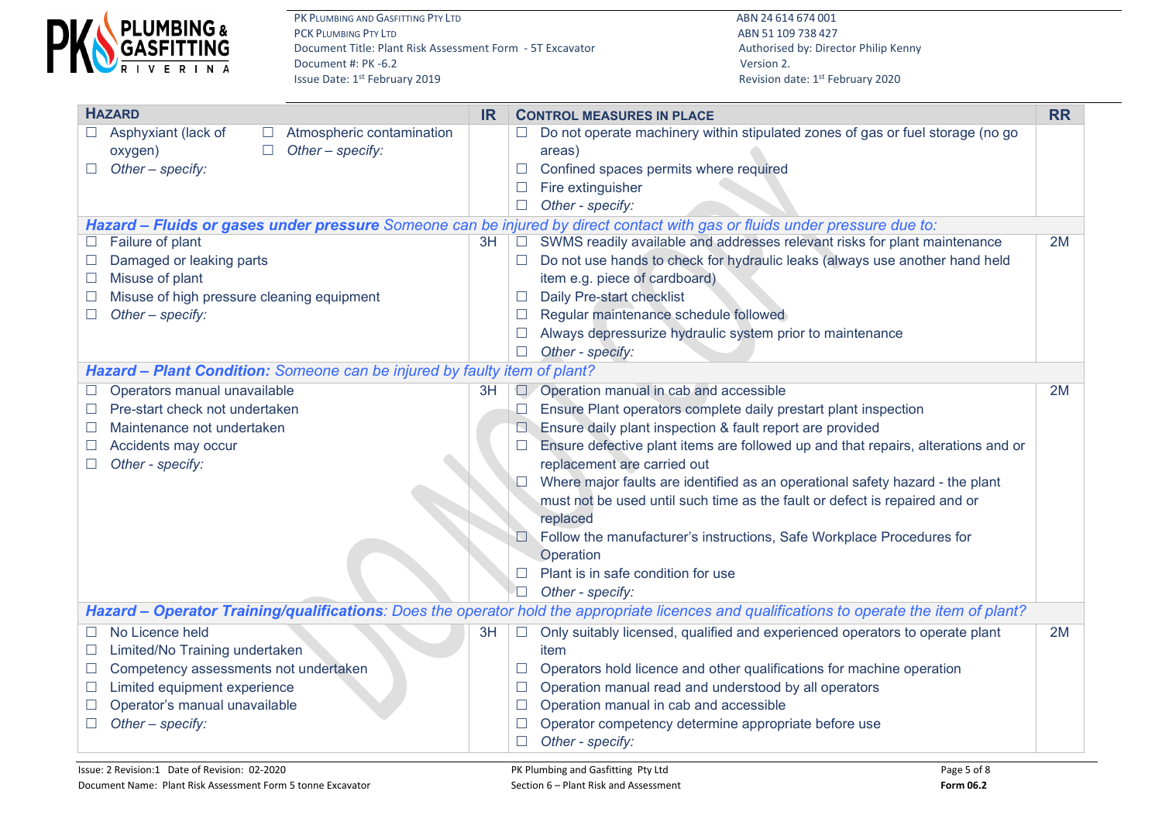

| <b>HAZARD</b>                                                             | <b>IR</b> | <b>CONTROL MEASURES IN PLACE</b>                                                                                                            |    |  |  |
|---------------------------------------------------------------------------|-----------|---------------------------------------------------------------------------------------------------------------------------------------------|----|--|--|
| Asphyxiant (lack of<br>Atmospheric contamination                          |           | Do not operate machinery within stipulated zones of gas or fuel storage (no go                                                              |    |  |  |
| Other - specify:<br>oxygen)<br>$\Box$                                     |           | areas)                                                                                                                                      |    |  |  |
| Other - specify:<br>$\Box$                                                |           | Confined spaces permits where required<br>$\Box$                                                                                            |    |  |  |
|                                                                           |           | Fire extinguisher                                                                                                                           |    |  |  |
|                                                                           |           | Other - specify:<br>$\Box$                                                                                                                  |    |  |  |
|                                                                           |           | Hazard - Fluids or gases under pressure Someone can be injured by direct contact with gas or fluids under pressure due to:                  |    |  |  |
| Failure of plant                                                          | 3H        | SWMS readily available and addresses relevant risks for plant maintenance<br>$\Box$                                                         | 2M |  |  |
| Damaged or leaking parts                                                  |           | Do not use hands to check for hydraulic leaks (always use another hand held                                                                 |    |  |  |
| Misuse of plant                                                           |           | item e.g. piece of cardboard)                                                                                                               |    |  |  |
| Misuse of high pressure cleaning equipment                                |           | Daily Pre-start checklist                                                                                                                   |    |  |  |
| Other - specify:                                                          |           | Regular maintenance schedule followed                                                                                                       |    |  |  |
|                                                                           |           | Always depressurize hydraulic system prior to maintenance                                                                                   |    |  |  |
|                                                                           |           | Other - specify:                                                                                                                            |    |  |  |
| Hazard - Plant Condition: Someone can be injured by faulty item of plant? |           |                                                                                                                                             |    |  |  |
| Operators manual unavailable                                              | 3H        | Operation manual in cab and accessible<br>$\Box$                                                                                            | 2M |  |  |
| Pre-start check not undertaken                                            |           | Ensure Plant operators complete daily prestart plant inspection                                                                             |    |  |  |
| Maintenance not undertaken                                                |           | Ensure daily plant inspection & fault report are provided                                                                                   |    |  |  |
| Accidents may occur<br>$\Box$                                             |           | Ensure defective plant items are followed up and that repairs, alterations and or                                                           |    |  |  |
| Other - specify:                                                          |           | replacement are carried out                                                                                                                 |    |  |  |
|                                                                           |           | Where major faults are identified as an operational safety hazard - the plant                                                               |    |  |  |
|                                                                           |           | must not be used until such time as the fault or defect is repaired and or                                                                  |    |  |  |
|                                                                           |           | replaced                                                                                                                                    |    |  |  |
|                                                                           |           | Follow the manufacturer's instructions, Safe Workplace Procedures for                                                                       |    |  |  |
|                                                                           |           | Operation                                                                                                                                   |    |  |  |
|                                                                           |           | Plant is in safe condition for use                                                                                                          |    |  |  |
|                                                                           |           | $\Box$<br>Other - specify:                                                                                                                  |    |  |  |
|                                                                           |           | Hazard - Operator Training/qualifications: Does the operator hold the appropriate licences and qualifications to operate the item of plant? |    |  |  |
| No Licence held                                                           | 3H        | Only suitably licensed, qualified and experienced operators to operate plant<br>$\Box$                                                      | 2M |  |  |
| Limited/No Training undertaken                                            |           | item                                                                                                                                        |    |  |  |
| Competency assessments not undertaken                                     |           | Operators hold licence and other qualifications for machine operation                                                                       |    |  |  |
| Limited equipment experience<br>$\overline{\phantom{a}}$                  |           | Operation manual read and understood by all operators                                                                                       |    |  |  |
| Operator's manual unavailable                                             |           | Operation manual in cab and accessible                                                                                                      |    |  |  |
| Other - specify:                                                          |           | Operator competency determine appropriate before use                                                                                        |    |  |  |
|                                                                           |           | Other - specify:<br>$\Box$                                                                                                                  |    |  |  |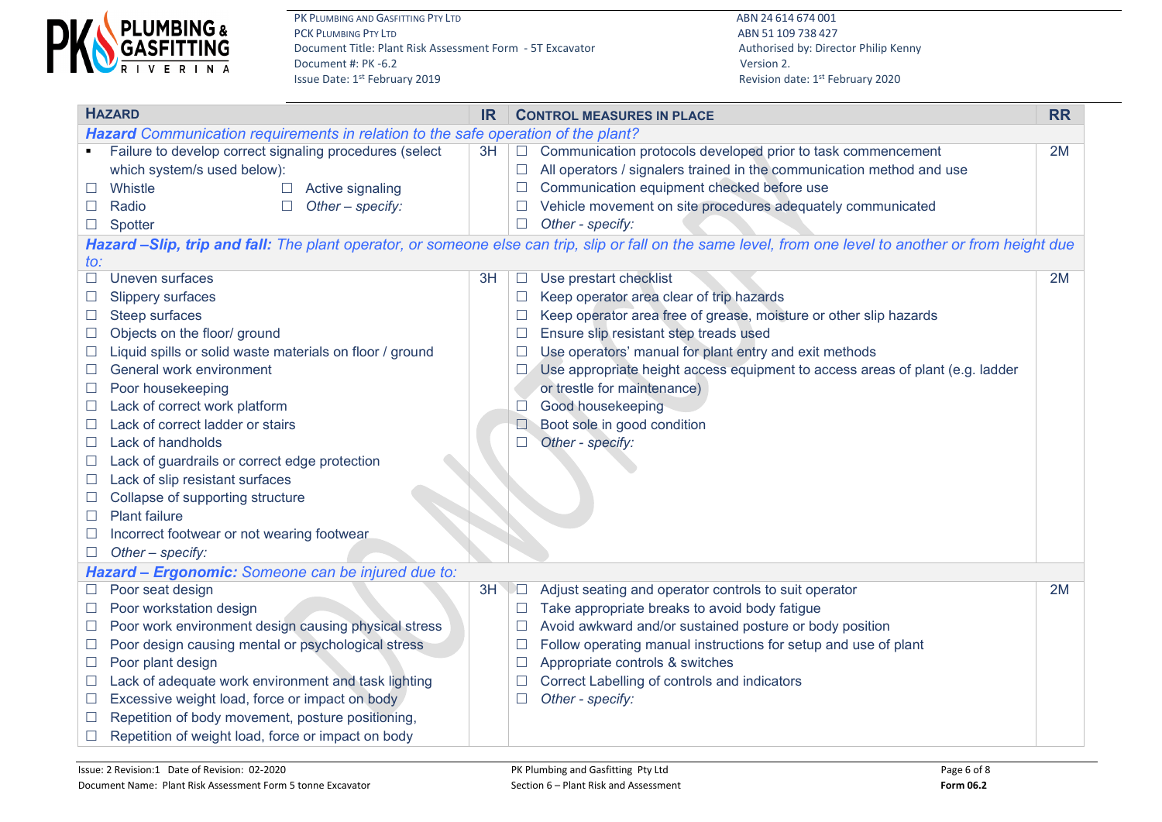

| <b>HAZARD</b>                             |                                                                                                                                                                                                                                                                                                                                                                                                                                                                                                                        |    | <b>IR</b><br><b>CONTROL MEASURES IN PLACE</b>   |                                                                                                                                                                                                                                                                                                                                                                                                                                     |    |  |
|-------------------------------------------|------------------------------------------------------------------------------------------------------------------------------------------------------------------------------------------------------------------------------------------------------------------------------------------------------------------------------------------------------------------------------------------------------------------------------------------------------------------------------------------------------------------------|----|-------------------------------------------------|-------------------------------------------------------------------------------------------------------------------------------------------------------------------------------------------------------------------------------------------------------------------------------------------------------------------------------------------------------------------------------------------------------------------------------------|----|--|
|                                           | Hazard Communication requirements in relation to the safe operation of the plant?                                                                                                                                                                                                                                                                                                                                                                                                                                      |    |                                                 |                                                                                                                                                                                                                                                                                                                                                                                                                                     |    |  |
|                                           | Failure to develop correct signaling procedures (select<br>which system/s used below):<br>Whistle<br>Active signaling<br>$\Box$<br>Radio<br>Other - specify:                                                                                                                                                                                                                                                                                                                                                           | 3H | $\Box$<br>$\Box$                                | Communication protocols developed prior to task commencement<br>All operators / signalers trained in the communication method and use<br>Communication equipment checked before use<br>Vehicle movement on site procedures adequately communicated                                                                                                                                                                                  | 2M |  |
|                                           | Spotter                                                                                                                                                                                                                                                                                                                                                                                                                                                                                                                |    |                                                 | Other - specify:                                                                                                                                                                                                                                                                                                                                                                                                                    |    |  |
|                                           |                                                                                                                                                                                                                                                                                                                                                                                                                                                                                                                        |    |                                                 | Hazard -Slip, trip and fall: The plant operator, or someone else can trip, slip or fall on the same level, from one level to another or from height due                                                                                                                                                                                                                                                                             |    |  |
| $\mathfrak{to}$ :                         |                                                                                                                                                                                                                                                                                                                                                                                                                                                                                                                        |    |                                                 |                                                                                                                                                                                                                                                                                                                                                                                                                                     |    |  |
| $\Box$<br>ப<br>$\Box$<br>$\Box$<br>$\Box$ | Uneven surfaces<br><b>Slippery surfaces</b><br>Steep surfaces<br>Objects on the floor/ ground<br>Liquid spills or solid waste materials on floor / ground<br>General work environment<br>Poor housekeeping<br>Lack of correct work platform<br>Lack of correct ladder or stairs<br>Lack of handholds<br>Lack of guardrails or correct edge protection<br>Lack of slip resistant surfaces<br>Collapse of supporting structure<br><b>Plant failure</b><br>Incorrect footwear or not wearing footwear<br>Other - specify: | 3H | $\mathcal{L}_{\mathcal{A}}$<br>$\Box$<br>$\Box$ | Use prestart checklist<br>Keep operator area clear of trip hazards<br>Keep operator area free of grease, moisture or other slip hazards<br>Ensure slip resistant step treads used<br>Use operators' manual for plant entry and exit methods<br>Use appropriate height access equipment to access areas of plant (e.g. ladder<br>or trestle for maintenance)<br>Good housekeeping<br>Boot sole in good condition<br>Other - specify: | 2M |  |
|                                           | Hazard - Ergonomic: Someone can be injured due to:                                                                                                                                                                                                                                                                                                                                                                                                                                                                     |    |                                                 |                                                                                                                                                                                                                                                                                                                                                                                                                                     |    |  |
|                                           | Poor seat design<br>Poor workstation design                                                                                                                                                                                                                                                                                                                                                                                                                                                                            | 3H | $\Box$                                          | Adjust seating and operator controls to suit operator<br>Take appropriate breaks to avoid body fatigue                                                                                                                                                                                                                                                                                                                              | 2M |  |
| $\Box$                                    | Poor work environment design causing physical stress<br>Poor design causing mental or psychological stress<br>Poor plant design                                                                                                                                                                                                                                                                                                                                                                                        |    |                                                 | Avoid awkward and/or sustained posture or body position<br>Follow operating manual instructions for setup and use of plant<br>Appropriate controls & switches                                                                                                                                                                                                                                                                       |    |  |
| $\overline{\phantom{a}}$<br>⊔             | Lack of adequate work environment and task lighting<br>Excessive weight load, force or impact on body<br>Repetition of body movement, posture positioning,<br>Repetition of weight load, force or impact on body                                                                                                                                                                                                                                                                                                       |    |                                                 | Correct Labelling of controls and indicators<br>Other - specify:                                                                                                                                                                                                                                                                                                                                                                    |    |  |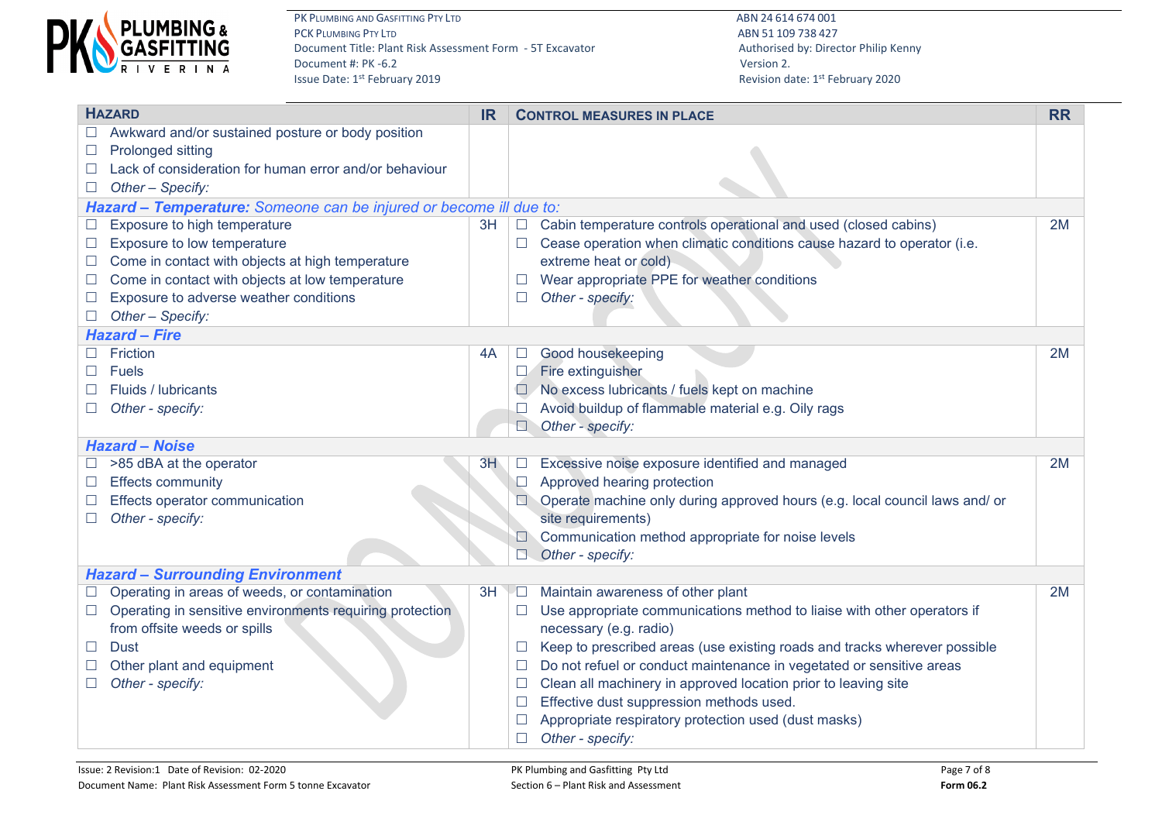

| <b>HAZARD</b><br><b>IR</b> |                                                                    |    |          | <b>CONTROL MEASURES IN PLACE</b>                                            |    |  |  |  |  |
|----------------------------|--------------------------------------------------------------------|----|----------|-----------------------------------------------------------------------------|----|--|--|--|--|
|                            | Awkward and/or sustained posture or body position                  |    |          |                                                                             |    |  |  |  |  |
|                            | Prolonged sitting                                                  |    |          |                                                                             |    |  |  |  |  |
|                            | Lack of consideration for human error and/or behaviour             |    |          |                                                                             |    |  |  |  |  |
| $\Box$                     | Other - Specify:                                                   |    |          |                                                                             |    |  |  |  |  |
|                            | Hazard - Temperature: Someone can be injured or become ill due to: |    |          |                                                                             |    |  |  |  |  |
|                            | Exposure to high temperature                                       | 3H |          | Cabin temperature controls operational and used (closed cabins)             | 2M |  |  |  |  |
|                            | Exposure to low temperature                                        |    |          | Cease operation when climatic conditions cause hazard to operator (i.e.     |    |  |  |  |  |
|                            | Come in contact with objects at high temperature                   |    |          | extreme heat or cold)                                                       |    |  |  |  |  |
| $\Box$                     | Come in contact with objects at low temperature                    |    |          | Wear appropriate PPE for weather conditions                                 |    |  |  |  |  |
|                            | Exposure to adverse weather conditions                             |    |          | Other - specify:                                                            |    |  |  |  |  |
|                            | Other - Specify:                                                   |    |          |                                                                             |    |  |  |  |  |
|                            | <b>Hazard - Fire</b>                                               |    |          |                                                                             |    |  |  |  |  |
|                            | Friction                                                           | 4A | ⊔        | Good housekeeping                                                           | 2M |  |  |  |  |
|                            | <b>Fuels</b>                                                       |    |          | Fire extinguisher                                                           |    |  |  |  |  |
|                            | Fluids / lubricants                                                |    |          | No excess lubricants / fuels kept on machine                                |    |  |  |  |  |
|                            | Other - specify:                                                   |    |          | Avoid buildup of flammable material e.g. Oily rags                          |    |  |  |  |  |
|                            |                                                                    |    | N.       | Other - specify:                                                            |    |  |  |  |  |
|                            | <b>Hazard - Noise</b>                                              |    |          |                                                                             |    |  |  |  |  |
|                            | >85 dBA at the operator                                            | 3H | $\Box$   | Excessive noise exposure identified and managed                             | 2M |  |  |  |  |
| $\Box$                     | <b>Effects community</b>                                           |    | <b>I</b> | Approved hearing protection                                                 |    |  |  |  |  |
|                            | Effects operator communication                                     |    |          | Operate machine only during approved hours (e.g. local council laws and/ or |    |  |  |  |  |
|                            | Other - specify:                                                   |    |          | site requirements)                                                          |    |  |  |  |  |
|                            |                                                                    |    |          | Communication method appropriate for noise levels                           |    |  |  |  |  |
|                            |                                                                    |    |          | Other - specify:                                                            |    |  |  |  |  |
|                            | <b>Hazard - Surrounding Environment</b>                            |    |          |                                                                             |    |  |  |  |  |
|                            | Operating in areas of weeds, or contamination                      | 3H | ∐        | Maintain awareness of other plant                                           | 2M |  |  |  |  |
| $\Box$                     | Operating in sensitive environments requiring protection           |    |          | Use appropriate communications method to liaise with other operators if     |    |  |  |  |  |
|                            | from offsite weeds or spills                                       |    |          | necessary (e.g. radio)                                                      |    |  |  |  |  |
| $\Box$                     | <b>Dust</b>                                                        |    |          | Keep to prescribed areas (use existing roads and tracks wherever possible   |    |  |  |  |  |
|                            | Other plant and equipment                                          |    |          | Do not refuel or conduct maintenance in vegetated or sensitive areas        |    |  |  |  |  |
|                            | Other - specify:                                                   |    |          | Clean all machinery in approved location prior to leaving site              |    |  |  |  |  |
|                            |                                                                    |    |          | Effective dust suppression methods used.                                    |    |  |  |  |  |
|                            |                                                                    |    |          | Appropriate respiratory protection used (dust masks)                        |    |  |  |  |  |
|                            |                                                                    |    | П        | Other - specify:                                                            |    |  |  |  |  |